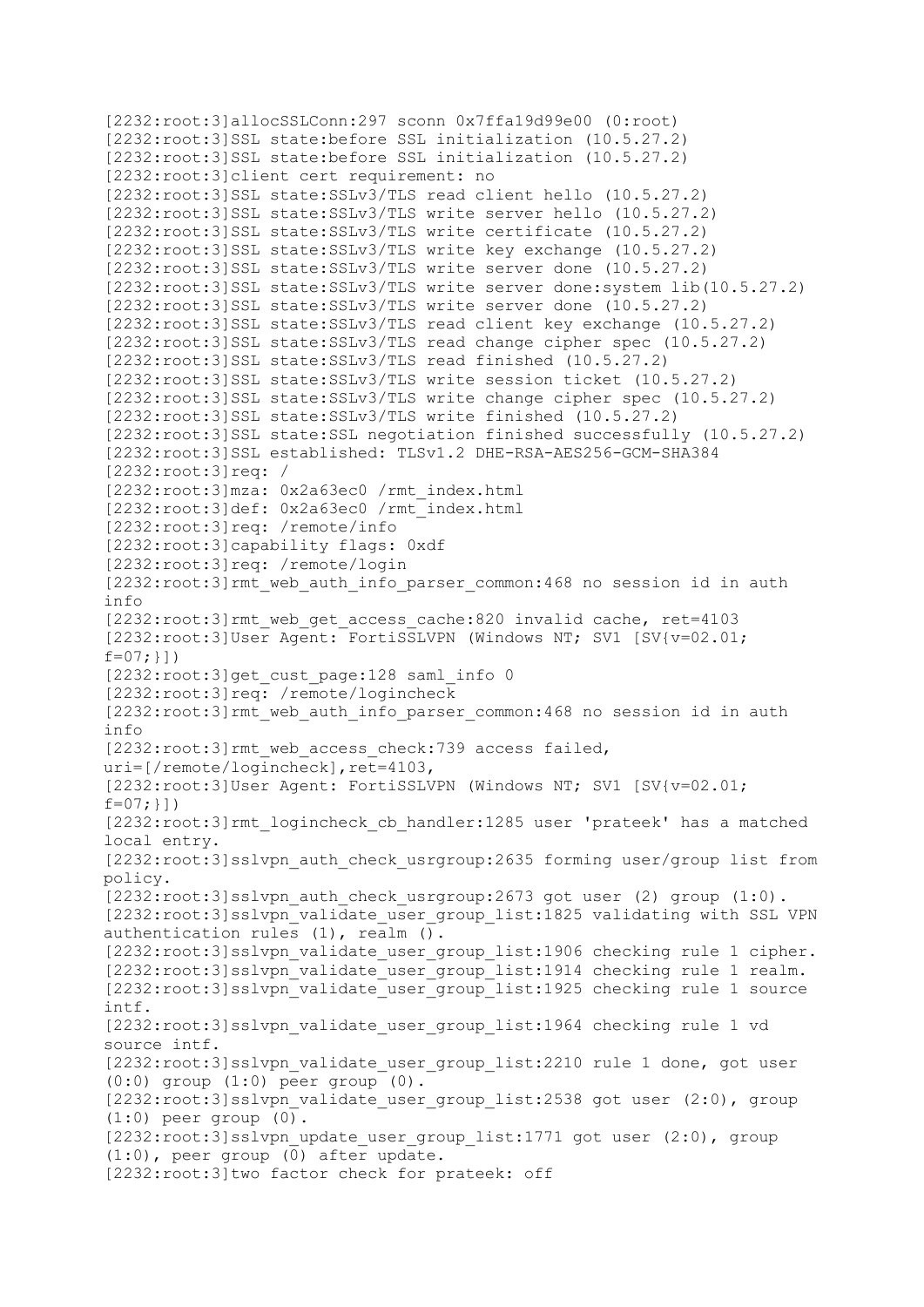[2232:root:3]allocSSLConn:297 sconn 0x7ffa19d99e00 (0:root) [2232:root:3]SSL state:before SSL initialization (10.5.27.2) [2232:root:3]SSL state:before SSL initialization (10.5.27.2) [2232:root:3]client cert requirement: no [2232:root:3]SSL state:SSLv3/TLS read client hello (10.5.27.2) [2232:root:3]SSL state:SSLv3/TLS write server hello (10.5.27.2) [2232:root:3]SSL state:SSLv3/TLS write certificate (10.5.27.2) [2232:root:3]SSL state:SSLv3/TLS write key exchange (10.5.27.2) [2232:root:3]SSL state:SSLv3/TLS write server done (10.5.27.2) [2232:root:3]SSL state:SSLv3/TLS write server done:system lib(10.5.27.2) [2232:root:3]SSL state:SSLv3/TLS write server done (10.5.27.2) [2232:root:3]SSL state:SSLv3/TLS read client key exchange (10.5.27.2) [2232:root:3]SSL state:SSLv3/TLS read change cipher spec (10.5.27.2) [2232:root:3]SSL state:SSLv3/TLS read finished (10.5.27.2) [2232:root:3]SSL state:SSLv3/TLS write session ticket (10.5.27.2) [2232:root:3]SSL state:SSLv3/TLS write change cipher spec (10.5.27.2) [2232:root:3]SSL state:SSLv3/TLS write finished (10.5.27.2) [2232:root:3]SSL state:SSL negotiation finished successfully (10.5.27.2) [2232:root:3]SSL established: TLSv1.2 DHE-RSA-AES256-GCM-SHA384 [2232:root:3]req: / [2232:root:3]mza: 0x2a63ec0 /rmt\_index.html [2232:root:3]def: 0x2a63ec0 /rmt\_index.html [2232:root:3]req: /remote/info [2232:root:3]capability flags: 0xdf [2232:root:3]req: /remote/login [2232:root:3]rmt\_web\_auth\_info\_parser\_common:468 no session id in auth info [2232:root:3]rmt\_web\_get\_access\_cache:820 invalid cache, ret=4103 [2232:root:3]User Agent: FortiSSLVPN (Windows NT; SV1 [SV{v=02.01;  $f=07;$ }]) [2232:root:3]get cust page:128 saml info 0 [2232:root:3]req: /remote/logincheck [2232:root:3]rmt web auth info parser common:468 no session id in auth info [2232:root:3]rmt web access check:739 access failed, uri= $]/$ remote/logincheck], ret=4103, [2232:root:3]User Agent: FortiSSLVPN (Windows NT; SV1 [SV{v=02.01;  $f=07;$  } ] ) [2232:root:3]rmt\_logincheck\_cb\_handler:1285 user 'prateek' has a matched local entry. [2232:root:3]sslvpn\_auth\_check\_usrgroup:2635 forming user/group list from policy. [2232:root:3]sslvpn\_auth\_check\_usrgroup:2673 got\_user (2) group (1:0). [2232:root:3]sslvpn\_validate\_user\_group\_list:1825 validating with SSL VPN authentication rules (1), realm (). [2232:root:3]sslvpn\_validate\_user\_group list:1906 checking rule 1 cipher. [2232:root:3]sslvpn\_validate\_user\_group\_list:1914 checking rule 1 realm. [2232:root:3]sslvpn\_validate\_user\_group\_list:1925 checking rule 1 source intf. [2232:root:3]sslvpn\_validate\_user\_group\_list:1964 checking rule 1 vd source intf. [2232:root:3]sslvpn\_validate\_user\_group\_list:2210 rule 1 done, got user (0:0) group (1:0) peer group (0). [2232:root:3]sslvpn\_validate\_user\_group\_list:2538 got\_user (2:0), group  $(1:0)$  peer group  $(0)$ .  $[2232:root:3]$ sslvpn update user group list:1771 got user  $(2:0)$ , group (1:0), peer group (0) after update. [2232:root:3]two factor check for prateek: off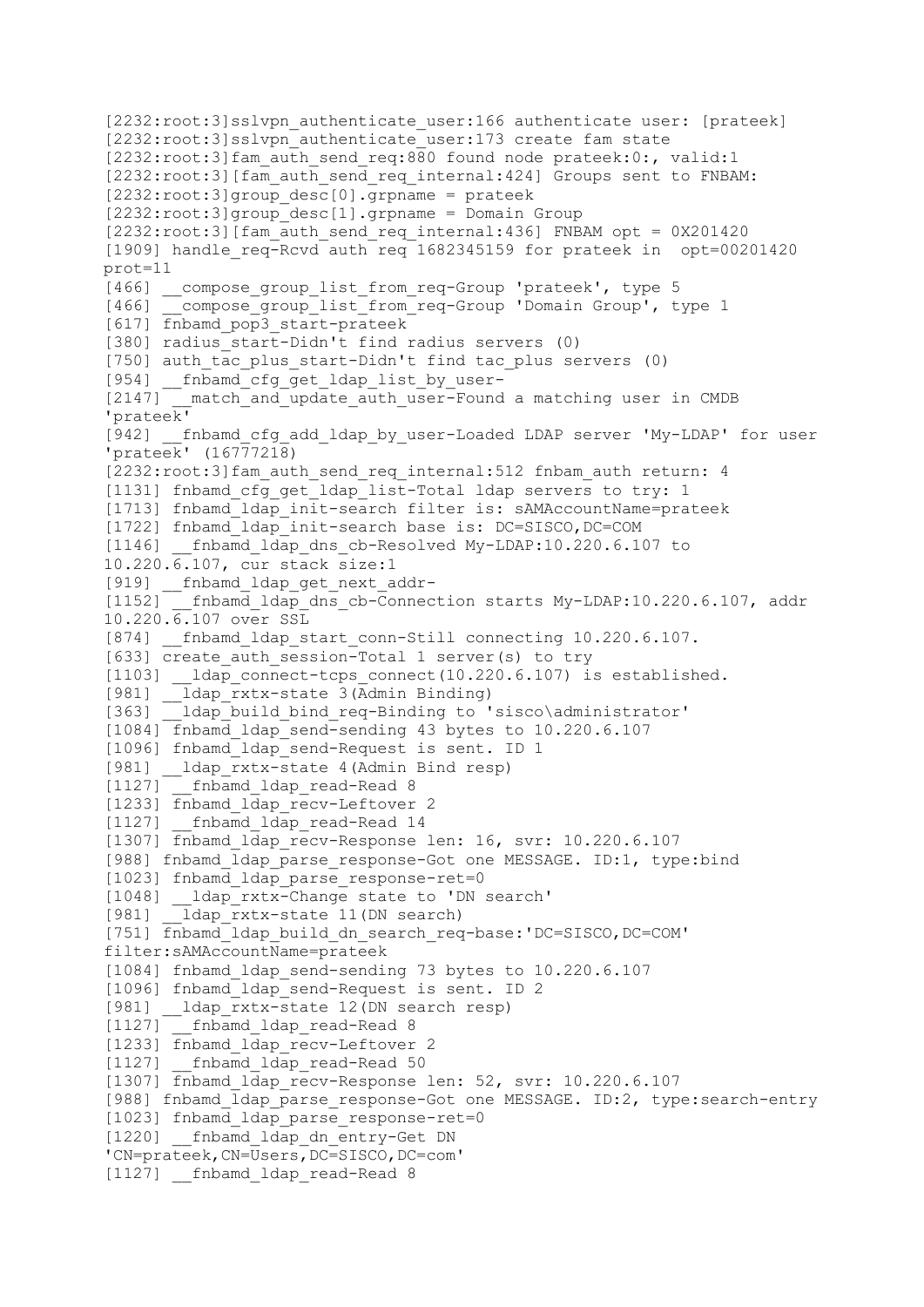```
[2232:root:3]sslvpn_authenticate_user:166 authenticate_user: [prateek]
[2232:root:3]sslvpn_authenticate_user:173 create fam state
[2232:root:3]fam_auth_send_req:880 found node prateek:0:, valid:1
[2232:root:3][fam_auth_send_req_internal:424] Groups sent to FNBAM:
[2232:root:3]group desc[0].grpname = prateek
[2232:root:3]group desc[1].grpname = Domain Group
[2232:root:3] [fam auth send req internal:436] FNBAM opt = 0X201420
[1909] handle req-Rcvd auth req 1682345159 for prateek in opt=00201420
prot=11
[466] __compose_group_list_from_req-Group 'prateek', type 5
[466] _compose_group_list_from_req-Group 'Domain Group', type 1
[617] fnbamd_pop3_start-prateek
[380] radius_start-Didn't find radius servers (0)
[750] auth_tac_plus_start-Didn't find tac_plus servers (0)
[954] fnbamd cfg get ldap list by user-
[2147] __match_and_update_auth_user-Found a matching user in CMDB
'prateek'
[942] __fnbamd_cfg_add_ldap_by_user-Loaded LDAP server 'My-LDAP' for user 
'prateek' (16777218)
[2232:root:3]fam_auth_send_req_internal:512 fnbam_auth return: 4
[1131] fnbamd cf\overline{g} get ldap list-Total ldap servers to try: 1
[1713] fnbamd ldap init-search filter is: sAMAccountName=prateek
[1722] fnbamd ldap init-search base is: DC=SISCO,DC=COM
[1146] fnbamd ldap dns cb-Resolved My-LDAP:10.220.6.107 to
10.220.6.107, cur stack size:1
[919] __fnbamd_ldap_get_next_addr-
[1152] __fnbamd_ldap_dns_cb-Connection starts My-LDAP:10.220.6.107, addr
10.220.6.107 over SSL
[874] fnbamd ldap start conn-Still connecting 10.220.6.107.
[633] create auth session-Total 1 server(s) to try
[1103] ldap connect-tcps connect(10.220.6.107) is established.
[981] ldap rxtx-state 3(Admin Binding)
[363] ldap build bind req-Binding to 'sisco\administrator'
[1084] fnbamd ldap send-sending 43 bytes to 10.220.6.107
[1096] fnbamd_ldap_send-Request is sent. ID 1
[981] __ldap_rxtx-state 4(Admin Bind resp)
[1127] fnbamd ldap read-Read 8
[1233] fnbamd ldap recv-Leftover 2
[1127] finbamd ldap read-Read 14
[1307] fnbamd ldap recv-Response len: 16, svr: 10.220.6.107
[988] fnbamd ldap parse response-Got one MESSAGE. ID:1, type:bind
[1023] fnbamd ldap parse response-ret=0
[1048] __ldap_rxtx-Change state to 'DN search'
        \frac{1}{2}dap rxtx-state 11(DN search)
[751] fnbamd_ldap_build_dn_search_req-base:'DC=SISCO,DC=COM' 
filter:sAMAccountName=prateek
[1084] fnbamd_ldap_send-sending 73 bytes to 10.220.6.107
[1096] fnbamd ldap send-Request is sent. ID 2
[981] ldap rxtx-state 12(DN search resp)
[1127] fnbamd ldap read-Read 8
[1233] fnbamd_ldap_recv-Leftover 2
[1127] fnbamd ldap read-Read 50
[1307] finbamd ldap recv-Response len: 52, svr: 10.220.6.107
[988] fnbamd ldap parse response-Got one MESSAGE. ID:2, type:search-entry
[1023] fnbamd ldap parse response-ret=0
[1220] fnbamd ldap dn entry-Get DN
'CN=prateek,CN=Users,DC=SISCO,DC=com'
[1127] fnbamd ldap read-Read 8
```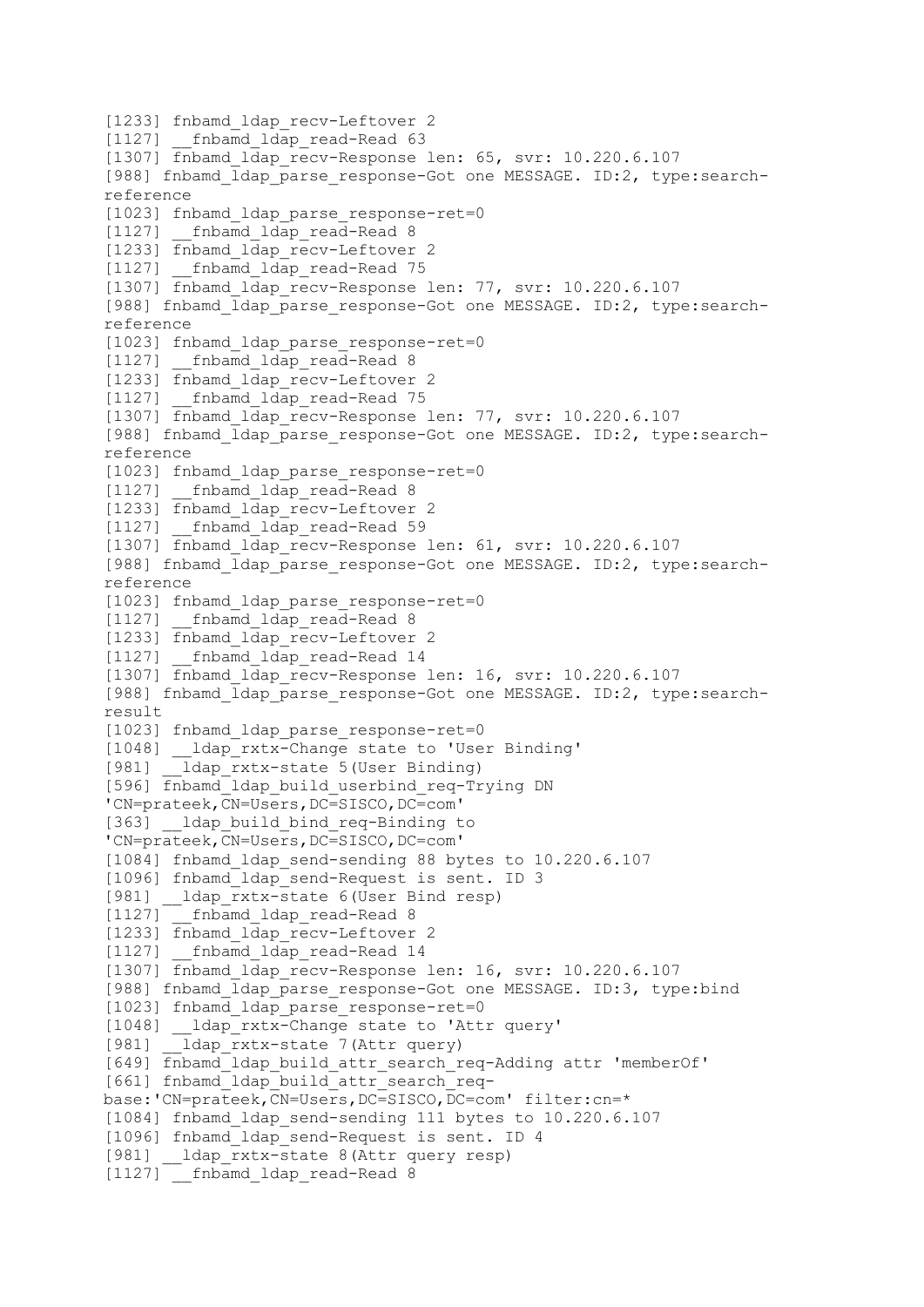[1233] fnbamd ldap recv-Leftover 2 [1127] fnbamd ldap read-Read 63 [1307] fnbamd ldap recv-Response len: 65, svr: 10.220.6.107 [988] fnbamd ldap parse response-Got one MESSAGE. ID:2, type:searchreference [1023] fnbamd ldap parse response-ret=0  $\overline{11271}$  fnbamd ldap read-Read 8 [1233] fnbamd ldap\_recv-Leftover 2 [1127] fnbamd ldap read-Read 75 [1307] fnbamd ldap recv-Response len: 77, svr: 10.220.6.107 [988] fnbamd ldap parse response-Got one MESSAGE. ID:2, type:searchreference [1023] fnbamd ldap parse response-ret=0 [1127] fnbamd ldap read-Read 8 [1233] fnbamd ldap recv-Leftover 2 [1127] fnbamd ldap read-Read 75 [1307] finbamd ldap recv-Response len: 77, svr: 10.220.6.107 [988] fnbamd\_ldap\_parse\_response-Got one MESSAGE. ID:2, type:searchreference [1023] fnbamd\_ldap\_parse\_response-ret=0 [1127] fnbamd ldap read-Read 8 [1233] fnbamd ldap recv-Leftover 2 [1127] fnbamd ldap read-Read 59 [1307] fnbamd ldap recv-Response len: 61, svr: 10.220.6.107 [988] fnbamd ldap parse response-Got one MESSAGE. ID:2, type:searchreference [1023] fnbamd\_ldap\_parse\_response-ret=0 [1127] \_\_fnbamd\_ldap read-Read 8 [1233] fnbamd ldap recv-Leftover 2 [1127] fnbamd ldap read-Read 14 [1307] fnbamd\_ldap\_recv-Response len: 16, svr: 10.220.6.107 [988] fnbamd\_ldap\_parse\_response-Got one MESSAGE. ID:2, type:searchresult [1023] fnbamd ldap parse response-ret=0 [1048] \_\_ldap\_rxtx-Change state to 'User Binding' [981] ldap rxtx-state 5(User Binding) [596] fnbamd\_ldap\_build\_userbind\_req-Trying DN 'CN=prateek,CN=Users,DC=SISCO,DC=com' [363] ldap build bind req-Binding to 'CN=prateek,CN=Users,DC=SISCO,DC=com' [1084] fnbamd ldap send-sending 88 bytes to 10.220.6.107 [1096] fnbamd\_ldap\_send-Request is sent. ID 3 [981] ldap rxtx-state 6(User Bind resp) [1127] fnbamd ldap read-Read 8 [1233] finbamd ldap recv-Leftover 2 [1127] fnbamd ldap read-Read 14 [1307] fnbamd ldap recv-Response len: 16, svr: 10.220.6.107 [988] fnbamd ldap parse response-Got one MESSAGE. ID:3, type:bind [1023] fnbamd ldap parse\_response-ret=0 [1048] ldap rxtx-Change state to 'Attr query' [981] ldap rxtx-state 7(Attr query) [649] fnbamd\_ldap\_build\_attr\_search\_req-Adding attr 'memberOf' [661] fnbamd\_ldap\_build\_attr\_search\_reqbase:'CN=prateek,CN=Users,DC=SISCO,DC=com' filter:cn=\* [1084] fnbamd\_ldap\_send-sending 111 bytes to 10.220.6.107 [1096] fnbamd ldap send-Request is sent. ID 4 [981] \_\_ldap\_rxtx-state 8(Attr query resp) [1127] fnbamd ldap read-Read 8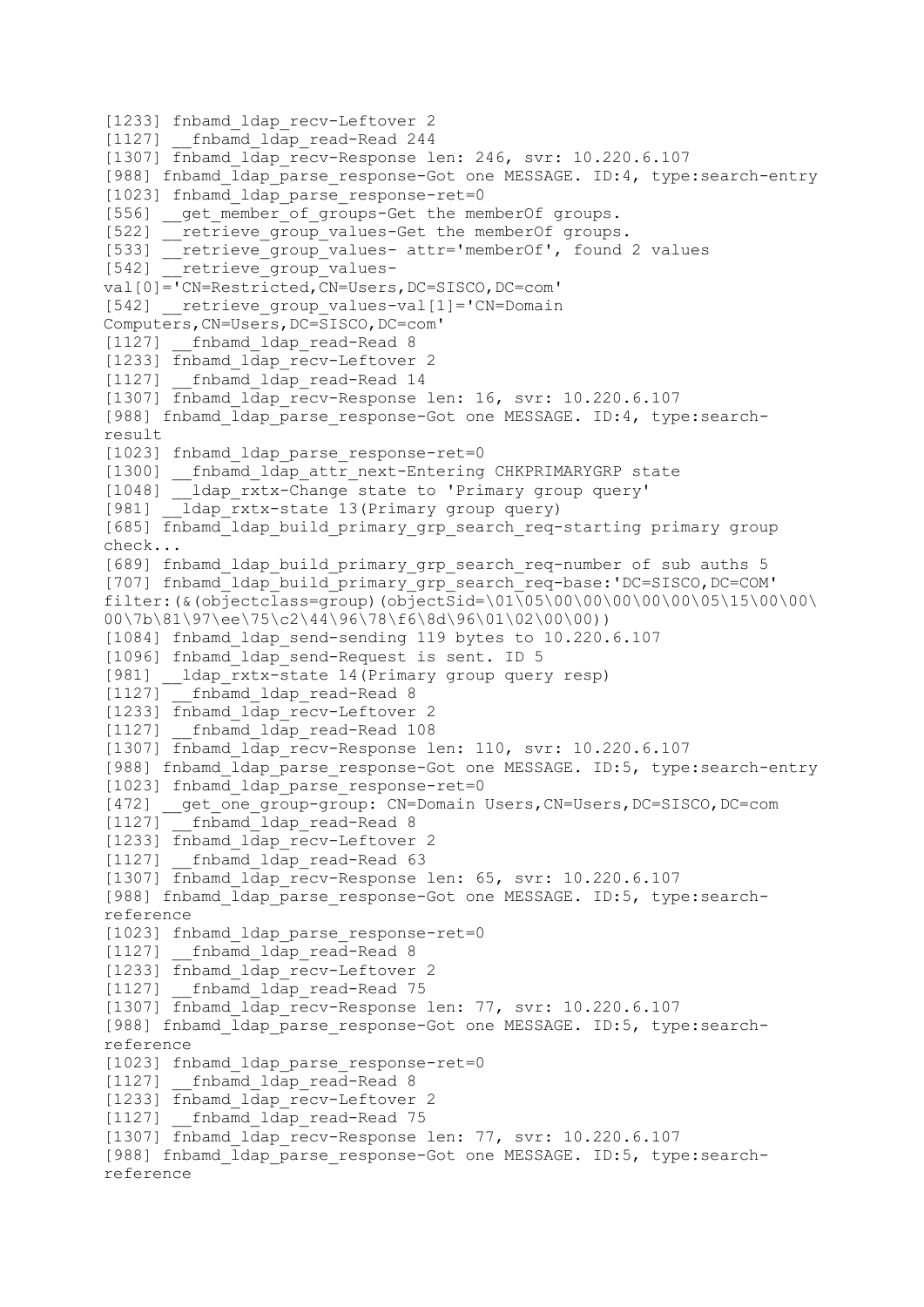```
[1233] fnbamd ldap recv-Leftover 2
[1127] fnbamd ldap read-Read 244
[1307] fnbamd ldap recv-Response len: 246, svr: 10.220.6.107
[988] fnbamd ldap parse response-Got one MESSAGE. ID:4, type:search-entry
[1023] fnbamd ldap parse response-ret=0
[556] get member of groups-Get the memberOf groups.
[522] retrieve group values-Get the memberOf groups.
[533] __retrieve_group_values-_attr='memberOf', found 2 values
[542] retrieve group values-
val[0]='CN=Restricted,CN=Users,DC=SISCO,DC=com'
[542] __retrieve_group_values-val[1]='CN=Domain 
Computers,CN=Users,DC=SISCO,DC=com'
[1127] fnbamd ldap read-Read 8
[1233] fnbamd ldap recv-Leftover 2
[1127] fnbamd ldap read-Read 14
[1307] fnbamd ldap recv-Response len: 16, svr: 10.220.6.107
[988] fnbamd ldap parse response-Got one MESSAGE. ID:4, type:search-
result
[1023] fnbamd ldap parse response-ret=0
[1300] __fnbamd_ldap_attr_next-Entering CHKPRIMARYGRP state
[1048] __ldap_rxtx-Change state to 'Primary group query'
[981] ldap rxtx-state 13(Primary group query)
[685] fnbamd_ldap_build_primary_grp_search_req-starting primary group 
check...
[689] fnbamd_ldap_build_primary_grp_search_req-number of sub auths 5 
[707] fnbamd_ldap_build_primary_grp_search_req-base:'DC=SISCO,DC=COM' 
filter:(&(objectclass=group)(objectSid=\01\05\00\00\00\00\00\05\15\00\00\
00\7b\81\97\ee\75\c2\44\96\78\f6\8d\96\01\02\00\00))
[1084] fnbamd ldap send-sending 119 bytes to 10.220.6.107
[1096] fnbamd ldap send-Request is sent. ID 5
[981] __ldap_rxtx-state 14(Primary group query resp)
[1127] fnbamd ldap read-Read 8
[1233] fnbamd ldap recv-Leftover 2
[1127] __fnbamd_ldap_read-Read 108
[1307] fnbamd ldap recv-Response len: 110, svr: 10.220.6.107
[988] fnbamd ldap parse response-Got one MESSAGE. ID:5, type:search-entry
[1023] fnbamd ldap parse response-ret=0
[472] __get_one_group-group: CN=Domain Users, CN=Users, DC=SISCO, DC=com
[1127] fnbamd ldap read-Read 8
[1233] fnbamd ldap recv-Leftover 2
[1127] finbamd ldap read-Read 63
[1307] finbamd ldap recv-Response len: 65, svr: 10.220.6.107
[988] fnbamd_ldap_parse_response-Got one MESSAGE. ID:5, type:search-
reference
[1023] fnbamd ldap parse response-ret=0
[1127] fnbamd ldap read-Read 8
[1233] fnbamd ldap recv-Leftover 2
[1127] fnbamd ldap read-Read 75
[1307] fnbamd ldap recv-Response len: 77, svr: 10.220.6.107
[988] fnbamd ldap parse response-Got one MESSAGE. ID:5, type:search-
reference
[1023] fnbamd ldap parse response-ret=0
[1127] fnbamd ldap read-Read 8
[1233] fnbamd ldap recv-Leftover 2
[1127] fnbamd ldap read-Read 75
[1307] fnbamd ldap recv-Response len: 77, svr: 10.220.6.107
[988] fnbamd ldap parse response-Got one MESSAGE. ID:5, type:search-
reference
```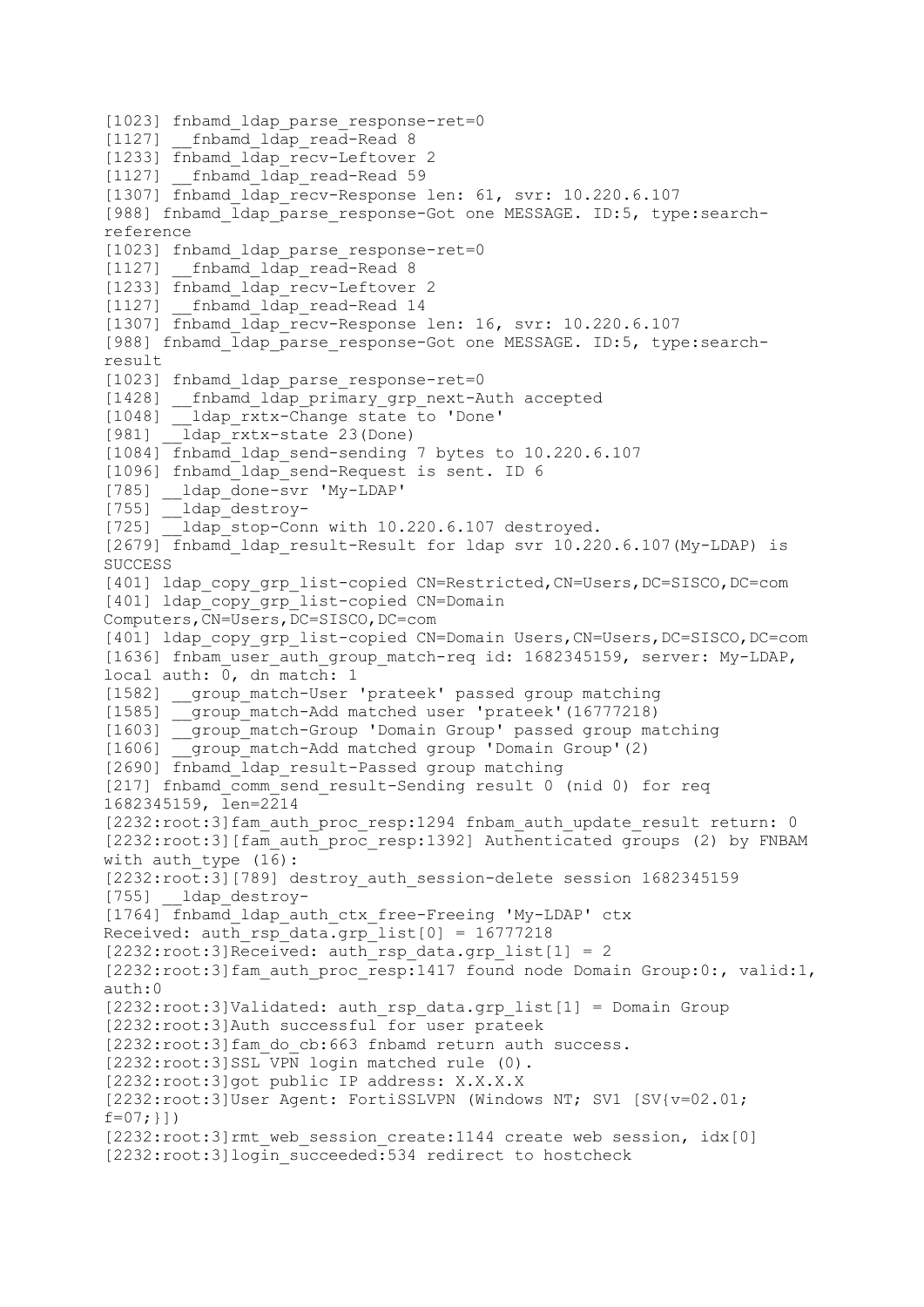```
[1023] fnbamd ldap parse response-ret=0
[1127] fnbamd ldap read-Read 8
[1233] fnbamd ldap recv-Leftover 2
[1127] fnbamd ldap read-Read 59
[1307] fnbamd ldap recv-Response len: 61, svr: 10.220.6.107
[988] fnbamd ldap parse response-Got one MESSAGE. ID:5, type:search-
reference
[1023] fnbamd ldap parse response-ret=0
[1127] fnbamd ldap read-Read 8
[1233] fnbamd ldap recv-Leftover 2
[1127] __fnbamd_ldap_read-Read 14
[1307] fnbamd_ldap_recv-Response len: 16, svr: 10.220.6.107
[988] fnbamd ldap parse response-Got one MESSAGE. ID:5, type:search-
result
[1023] fnbamd ldap parse response-ret=0
[1428] __fnbamd_ldap_primary grp next-Auth accepted
        -<br>[1dap rxtx-Change state to 'Done'
[1048] \frac{1}{2}ldap\frac{rxtx-\text{Change}}{23}<br>
[981] \frac{1}{2}ldap\frac{rxtx-\text{state}}{23} (Done)
[1084] fnbamd_ldap_send-sending 7 bytes to 10.220.6.107
[1096] fnbamd ldap send-Request is sent. ID 6
[785] __ldap_done-svr 'My-LDAP'
[755] __ldap_destroy-
[725] ldap stop-Conn with 10.220.6.107 destroyed.
[2679] fnbamd ldap result-Result for ldap svr 10.220.6.107(My-LDAP) is
SUCCESS
[401] ldap copy grp list-copied CN=Restricted, CN=Users, DC=SISCO, DC=com
[401] ldap_copy_grp_list-copied CN=Domain 
Computers,CN=Users,DC=SISCO,DC=com
[401] ldap copy grp list-copied CN=Domain Users, CN=Users, DC=SISCO, DC=com
[1636] fnbam user auth group match-req id: 1682345159, server: My-LDAP,
local auth: 0, dn match: 1
[1582] group match-User 'prateek' passed group matching
[1585] __group_match-Add matched user 'prateek'(16777218)
[1603] __group_match-Group 'Domain Group' passed group matching
[1606] group match-Add matched group 'Domain Group'(2)
[2690] fnbamd ldap result-Passed group matching
[217] fnbamd_comm_send_result-Sending result 0 (nid 0) for req 
1682345159, len=2214
[2232:root:3]fam_auth_proc_resp:1294 fnbam_auth_update_result_return: 0
[2232:root:3][fam_auth_proc_resp:1392] Authenticated groups (2) by FNBAM
with auth type (16):[2232:root:3][789] destroy_auth_session-delete session 1682345159
[755] __ldap_destroy-
[1764] fnbamd ldap auth ctx free-Freeing 'My-LDAP' ctx
Received: auth_rsp_data.grp_list[0] = 16777218 
[2232:root:3]Received: auth rsp data.grp list[1] = 2[2232:root:3]fam_auth_proc_resp:1417 found node Domain Group:0:, valid:1,
auth:0
[2232:root:3]Validated: auth rsp data.grp list[1] = Domain Group
[2232:root:3]Auth successful for user prateek
[2232:root:3]fam do cb:663 fnbamd return auth success.
[2232:root:3]SSL VPN login matched rule (0).
[2232:root:3]got public IP address: X.X.X.X
[2232:root:3]User Agent: FortiSSLVPN (Windows NT; SV1 [SV{v=02.01; 
f=07;}])
[2232:root:3]rmt web session create:1144 create web session, idx[0]
[2232:root:3]login_succeeded:534 redirect to hostcheck
```